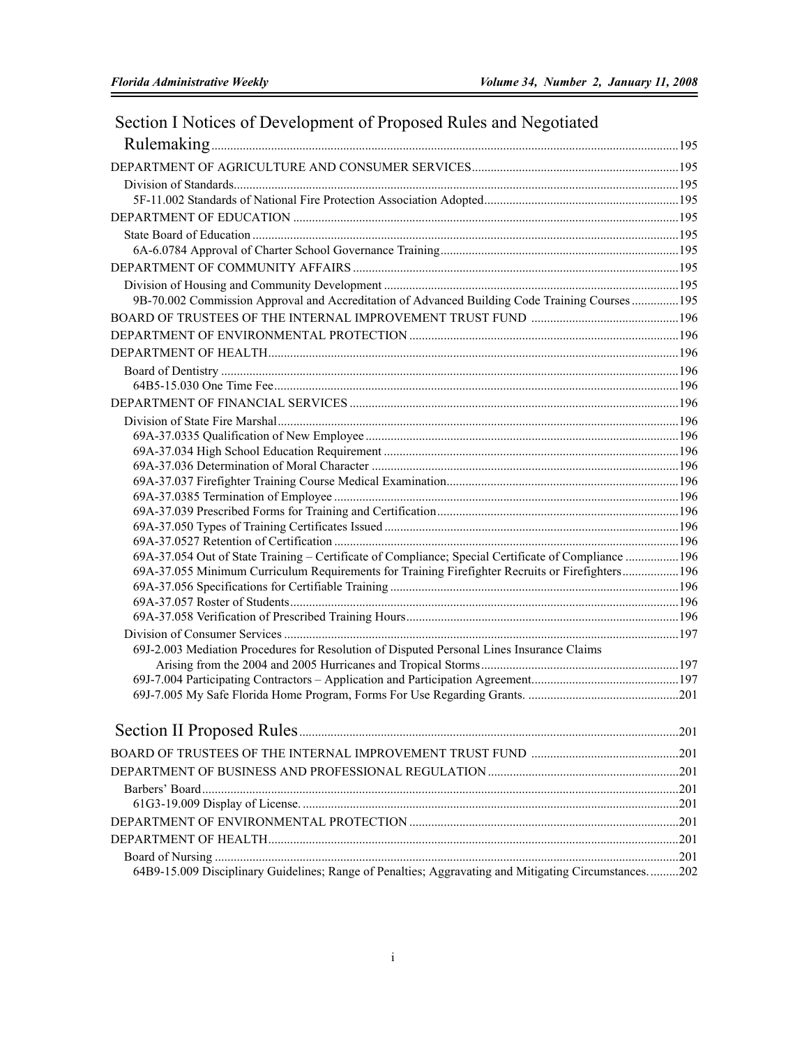## Section I Notices of Development of Proposed Rules and Negotiated

| 9B-70.002 Commission Approval and Accreditation of Advanced Building Code Training Courses195        |      |
|------------------------------------------------------------------------------------------------------|------|
|                                                                                                      |      |
|                                                                                                      |      |
|                                                                                                      |      |
|                                                                                                      |      |
|                                                                                                      |      |
|                                                                                                      |      |
|                                                                                                      |      |
|                                                                                                      |      |
|                                                                                                      |      |
|                                                                                                      |      |
|                                                                                                      |      |
|                                                                                                      |      |
|                                                                                                      |      |
|                                                                                                      |      |
| 69A-37.054 Out of State Training – Certificate of Compliance; Special Certificate of Compliance 196  |      |
| 69A-37.055 Minimum Curriculum Requirements for Training Firefighter Recruits or Firefighters196      |      |
|                                                                                                      |      |
|                                                                                                      |      |
|                                                                                                      |      |
| 69J-2.003 Mediation Procedures for Resolution of Disputed Personal Lines Insurance Claims            |      |
|                                                                                                      |      |
|                                                                                                      |      |
|                                                                                                      |      |
|                                                                                                      |      |
|                                                                                                      |      |
|                                                                                                      |      |
|                                                                                                      |      |
|                                                                                                      |      |
|                                                                                                      | .201 |
|                                                                                                      |      |
|                                                                                                      |      |
|                                                                                                      |      |
| 64B9-15.009 Disciplinary Guidelines; Range of Penalties; Aggravating and Mitigating Circumstances202 |      |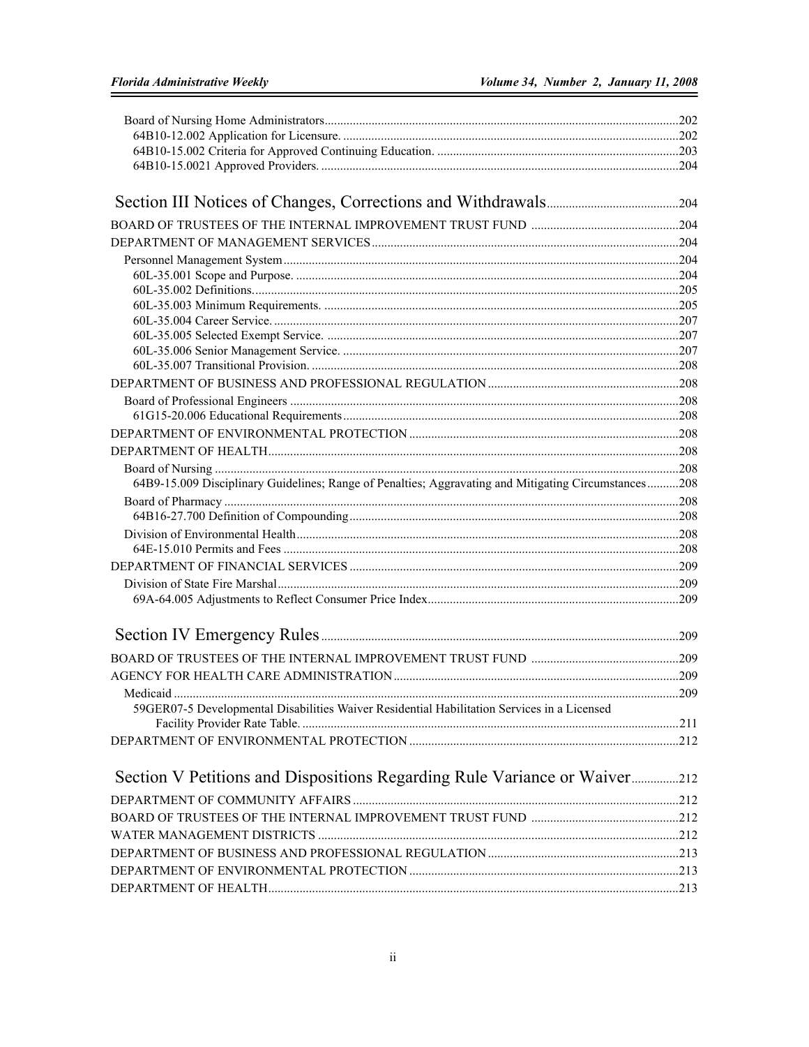| 64B9-15.009 Disciplinary Guidelines; Range of Penalties; Aggravating and Mitigating Circumstances208 |  |
|------------------------------------------------------------------------------------------------------|--|
|                                                                                                      |  |
|                                                                                                      |  |
|                                                                                                      |  |
|                                                                                                      |  |
|                                                                                                      |  |
|                                                                                                      |  |
|                                                                                                      |  |
|                                                                                                      |  |
|                                                                                                      |  |
|                                                                                                      |  |
|                                                                                                      |  |
| 59GER07-5 Developmental Disabilities Waiver Residential Habilitation Services in a Licensed          |  |
|                                                                                                      |  |
|                                                                                                      |  |
| Section V Petitions and Dispositions Regarding Rule Variance or Waiver212                            |  |
|                                                                                                      |  |
|                                                                                                      |  |
|                                                                                                      |  |
|                                                                                                      |  |
|                                                                                                      |  |
|                                                                                                      |  |
|                                                                                                      |  |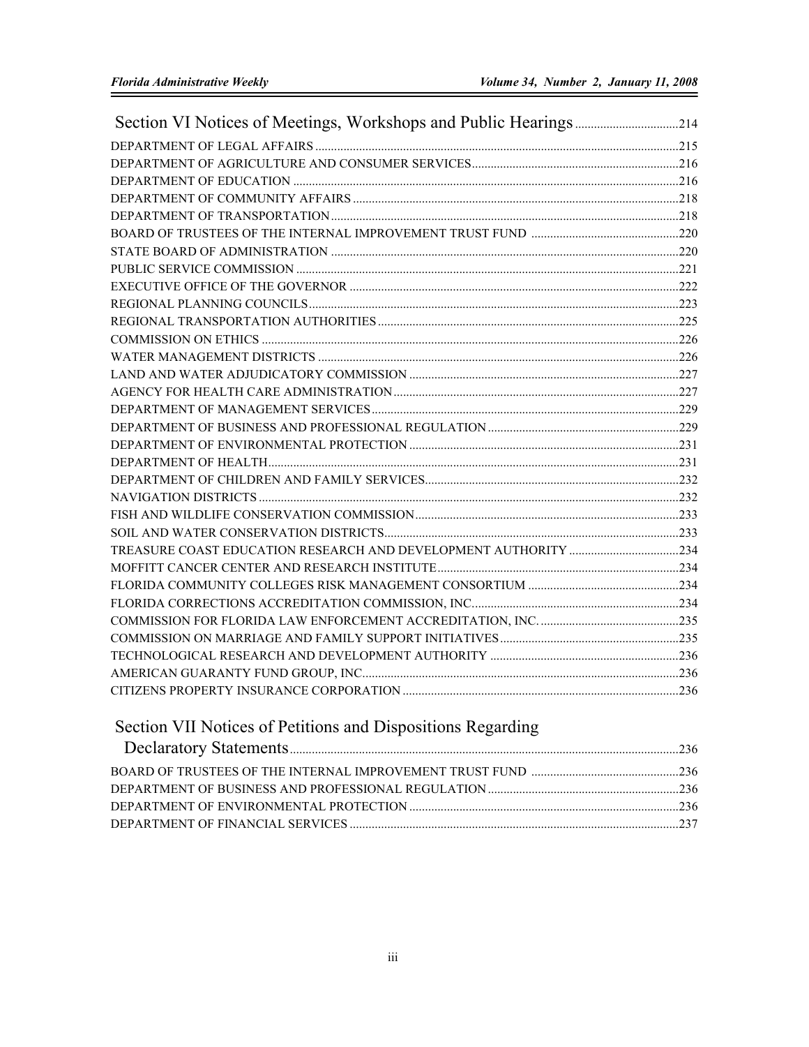## Section VII Notices of Petitions and Dispositions Regarding